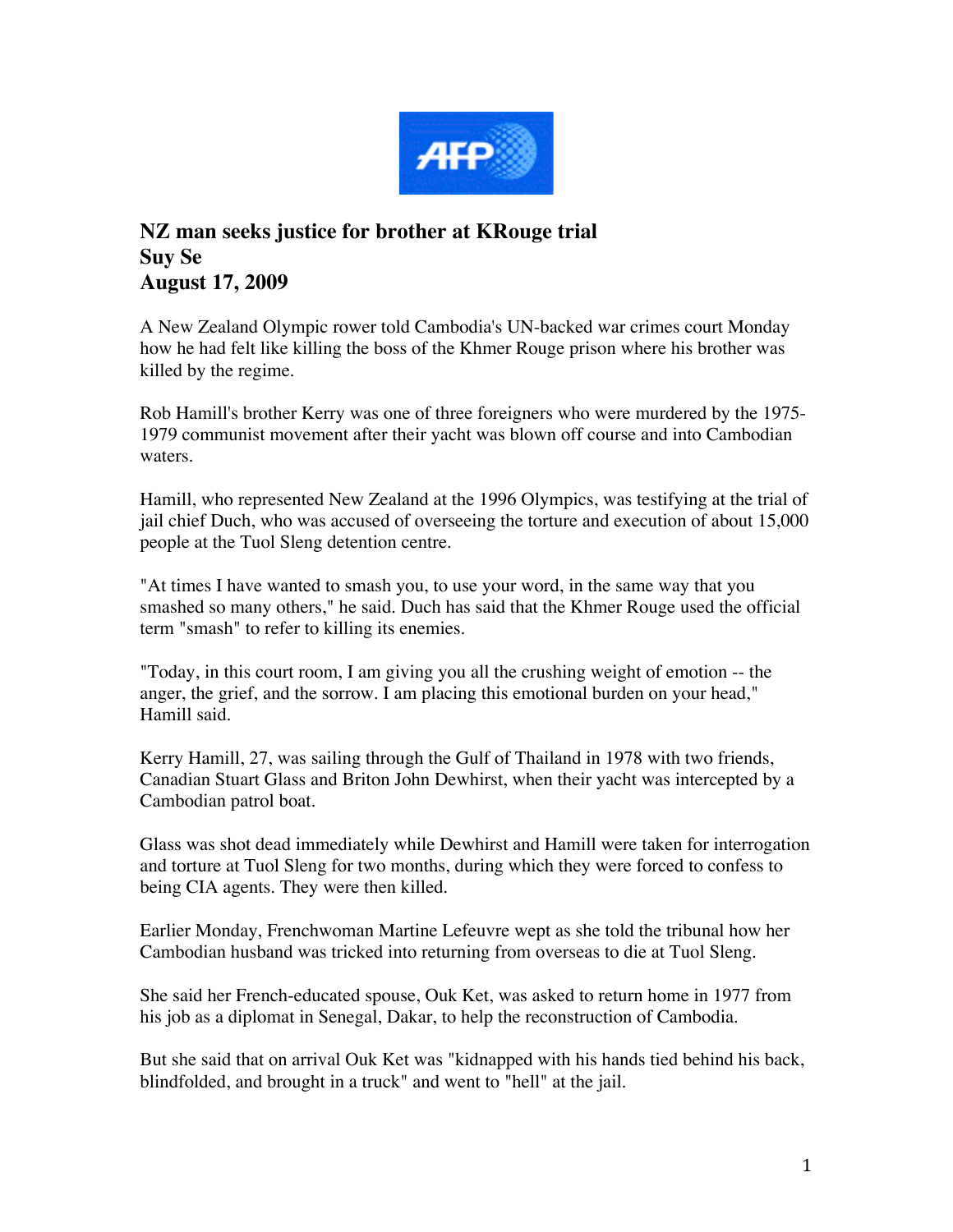

## **NZ man seeks justice for brother at KRouge trial Suy Se August 17, 2009**

A New Zealand Olympic rower told Cambodia's UN-backed war crimes court Monday how he had felt like killing the boss of the Khmer Rouge prison where his brother was killed by the regime.

Rob Hamill's brother Kerry was one of three foreigners who were murdered by the 1975- 1979 communist movement after their yacht was blown off course and into Cambodian waters.

Hamill, who represented New Zealand at the 1996 Olympics, was testifying at the trial of jail chief Duch, who was accused of overseeing the torture and execution of about 15,000 people at the Tuol Sleng detention centre.

"At times I have wanted to smash you, to use your word, in the same way that you smashed so many others," he said. Duch has said that the Khmer Rouge used the official term "smash" to refer to killing its enemies.

"Today, in this court room, I am giving you all the crushing weight of emotion -- the anger, the grief, and the sorrow. I am placing this emotional burden on your head," Hamill said.

Kerry Hamill, 27, was sailing through the Gulf of Thailand in 1978 with two friends, Canadian Stuart Glass and Briton John Dewhirst, when their yacht was intercepted by a Cambodian patrol boat.

Glass was shot dead immediately while Dewhirst and Hamill were taken for interrogation and torture at Tuol Sleng for two months, during which they were forced to confess to being CIA agents. They were then killed.

Earlier Monday, Frenchwoman Martine Lefeuvre wept as she told the tribunal how her Cambodian husband was tricked into returning from overseas to die at Tuol Sleng.

She said her French-educated spouse, Ouk Ket, was asked to return home in 1977 from his job as a diplomat in Senegal, Dakar, to help the reconstruction of Cambodia.

But she said that on arrival Ouk Ket was "kidnapped with his hands tied behind his back, blindfolded, and brought in a truck" and went to "hell" at the jail.